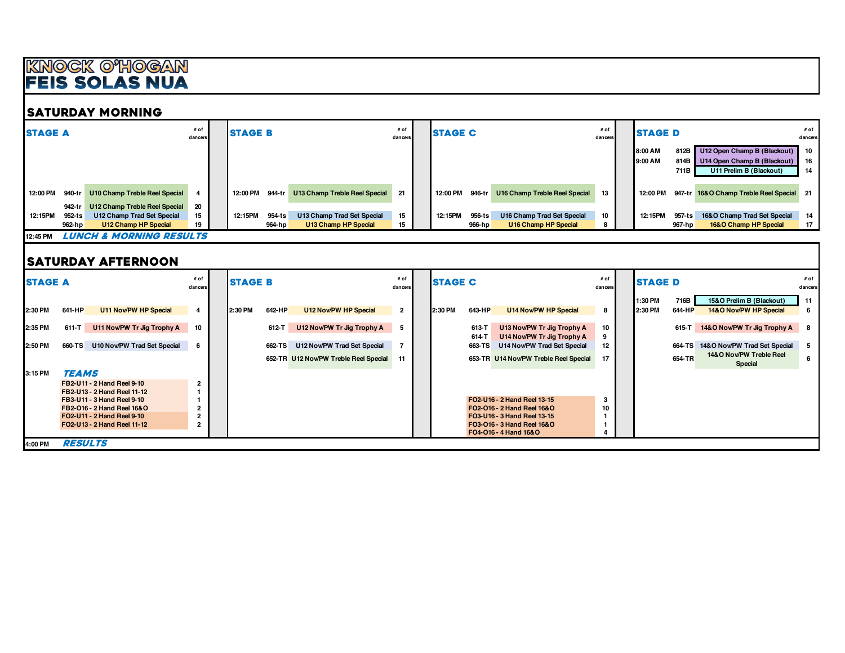## <u>KNOCK O'HOGAN</u><br>Feis Solas Nua

#### SATURDAY MORNING

| <b>STAGE A</b> |        |                                    | # of<br>dancers | <b>STAGE B</b>     |                               | # of<br>dancers | <b>STAGE C</b> |        |                               | # of<br>dancers | <b>ISTAGE D</b>                  |                        |                                                                                       | # of<br>dancers    |
|----------------|--------|------------------------------------|-----------------|--------------------|-------------------------------|-----------------|----------------|--------|-------------------------------|-----------------|----------------------------------|------------------------|---------------------------------------------------------------------------------------|--------------------|
|                |        |                                    |                 |                    |                               |                 |                |        |                               |                 | <b>8:00 AM</b><br><b>9:00 AM</b> | 812B<br>814B<br>711B I | U12 Open Champ B (Blackout)<br>U14 Open Champ B (Blackout)<br>U11 Prelim B (Blackout) | 10<br>- 16<br>- 14 |
| 12:00 PM       | 940-tr | U10 Champ Treble Reel Special      |                 | 944-tr<br>12:00 PM | U13 Champ Treble Reel Special | 21              | 12:00 PM       | 946-tr | U16 Champ Treble Reel Special | $13-1$          | 12:00 PM                         |                        | 947-tr 16&O Champ Treble Reel Special 21                                              |                    |
|                | 942-tr | U12 Champ Treble Reel Special      | -20             |                    |                               |                 |                |        |                               |                 |                                  |                        |                                                                                       |                    |
| 12:15PM        | 952-ts | U12 Champ Trad Set Special         | 15              | 954-ts<br>12:15PM  | U13 Champ Trad Set Special    | 15              | 12:15PM        | 956-ts | U16 Champ Trad Set Special    | 10              | 12:15PM                          | 957-ts                 | 16&O Champ Trad Set Special                                                           | 14                 |
|                | 962-hp | U12 Champ HP Special               | 19              | 964-hp             | U13 Champ HP Special          | 15              |                | 966-hp | U16 Champ HP Special          |                 |                                  | 967-hp                 | 16&O Champ HP Special                                                                 | - 17               |
| 12:45 PM       |        | <b>LUNCH &amp; MORNING RESULTS</b> |                 |                    |                               |                 |                |        |                               |                 |                                  |                        |                                                                                       |                    |

#### SATURDAY AFTERNOON

|         | <b>STAGE A</b> |                             | # of<br>dancers | <b>ISTAGE B</b> |        |                                       | # of<br>dancers | <b>ISTAGE C</b> |        |                                       | # of<br>dancers | <b>ISTAGE D</b> |         |                                           | # of<br>dancers |
|---------|----------------|-----------------------------|-----------------|-----------------|--------|---------------------------------------|-----------------|-----------------|--------|---------------------------------------|-----------------|-----------------|---------|-------------------------------------------|-----------------|
|         |                |                             |                 |                 |        |                                       |                 |                 |        |                                       |                 | 1:30 PM         | 716B    | 15&O Prelim B (Blackout)                  | 11              |
| 2:30 PM | 641-HP         | U11 Nov/PW HP Special       |                 | <b>2:30 PM</b>  | 642-HP | U12 Nov/PW HP Special                 | $\overline{2}$  | 2:30 PM         | 643-HP | <b>U14 Nov/PW HP Special</b>          |                 | 2:30 PM         | 644-HP  | 14&O Nov/PW HP Special                    | -6              |
| 2:35 PM | 611-T          | U11 Nov/PW Tr Jig Trophy A  | 10              |                 | 612-T  | U12 Nov/PW Tr Jig Trophy A            |                 |                 | 613-T  | U13 Nov/PW Tr Jig Trophy A            | 10              |                 | $615-T$ | 14&O Nov/PW Tr Jig Trophy A 8             |                 |
|         |                |                             |                 |                 |        |                                       |                 |                 | 614-T  | U14 Nov/PW Tr Jig Trophy A            |                 |                 |         |                                           |                 |
| 2:50 PM | 660-TS         | U10 Nov/PW Trad Set Special |                 |                 | 662-TS | U12 Nov/PW Trad Set Special           |                 |                 | 663-TS | U14 Nov/PW Trad Set Special           | 12              |                 | 664-TS  | 14&O Nov/PW Trad Set Special              | 5               |
|         |                |                             |                 |                 |        | 652-TR U12 Nov/PW Treble Reel Special | 11              |                 |        | 653-TR U14 Nov/PW Treble Reel Special |                 |                 | 654-TR  | 14&O Nov/PW Treble Reel<br><b>Special</b> | 6               |
| 3:15 PM | <b>TEAMS</b>   |                             |                 |                 |        |                                       |                 |                 |        |                                       |                 |                 |         |                                           |                 |
|         |                | FB2-U11 - 2 Hand Reel 9-10  |                 |                 |        |                                       |                 |                 |        |                                       |                 |                 |         |                                           |                 |
|         |                | FB2-U13 - 2 Hand Reel 11-12 |                 |                 |        |                                       |                 |                 |        |                                       |                 |                 |         |                                           |                 |
|         |                | FB3-U11 - 3 Hand Reel 9-10  |                 |                 |        |                                       |                 |                 |        | FO2-U16 - 2 Hand Reel 13-15           |                 |                 |         |                                           |                 |
|         |                | FB2-016 - 2 Hand Reel 16& O |                 |                 |        |                                       |                 |                 |        | FO2-016 - 2 Hand Reel 16&O            | 10              |                 |         |                                           |                 |
|         |                | FO2-U11 - 2 Hand Reel 9-10  |                 |                 |        |                                       |                 |                 |        | FO3-U16 - 3 Hand Reel 13-15           |                 |                 |         |                                           |                 |
|         |                | FO2-U13 - 2 Hand Reel 11-12 |                 |                 |        |                                       |                 |                 |        | F03-016 - 3 Hand Reel 16&0            |                 |                 |         |                                           |                 |
|         |                |                             |                 |                 |        |                                       |                 |                 |        | F04-016 - 4 Hand 16&0                 |                 |                 |         |                                           |                 |
| 4:00 PM |                | <b>RESULTS</b>              |                 |                 |        |                                       |                 |                 |        |                                       |                 |                 |         |                                           |                 |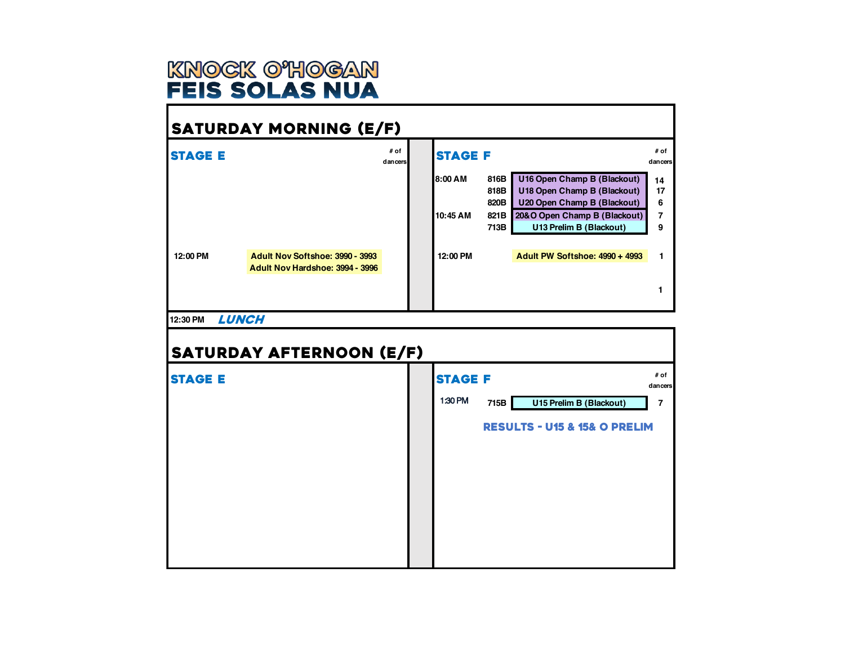

## SATURDAY MORNING (E/F)

| <b>STAGE E</b> |                                                                    | # of<br>dancers | <b>STAGE F</b> |              |                                                             | # of<br>dancers |
|----------------|--------------------------------------------------------------------|-----------------|----------------|--------------|-------------------------------------------------------------|-----------------|
|                |                                                                    |                 | <b>8:00 AM</b> | 816B<br>818B | U16 Open Champ B (Blackout)<br>U18 Open Champ B (Blackout)  | 14<br>17        |
|                |                                                                    |                 | 10:45 AM       | 820B<br>821B | U20 Open Champ B (Blackout)<br>20&O Open Champ B (Blackout) | 6               |
|                |                                                                    |                 |                | 713B         | U13 Prelim B (Blackout)                                     | 9               |
| 12:00 PM       | Adult Nov Softshoe: 3990 - 3993<br>Adult Nov Hardshoe: 3994 - 3996 |                 | 12:00 PM       |              | <b>Adult PW Softshoe: 4990 + 4993</b>                       |                 |
|                |                                                                    |                 |                |              |                                                             |                 |

#### **12:30 PM LUNCH**

| <b>SATURDAY AFTERNOON (E/F)</b> |                |      |                                             |                 |
|---------------------------------|----------------|------|---------------------------------------------|-----------------|
| <b>STAGE E</b>                  | <b>STAGE F</b> |      |                                             | # of<br>dancers |
|                                 | 1:30 PM        | 715B | U15 Prelim B (Blackout)                     | 7               |
|                                 |                |      | <b>RESULTS - U15 &amp; 15&amp; O PRELIM</b> |                 |
|                                 |                |      |                                             |                 |
|                                 |                |      |                                             |                 |
|                                 |                |      |                                             |                 |
|                                 |                |      |                                             |                 |
|                                 |                |      |                                             |                 |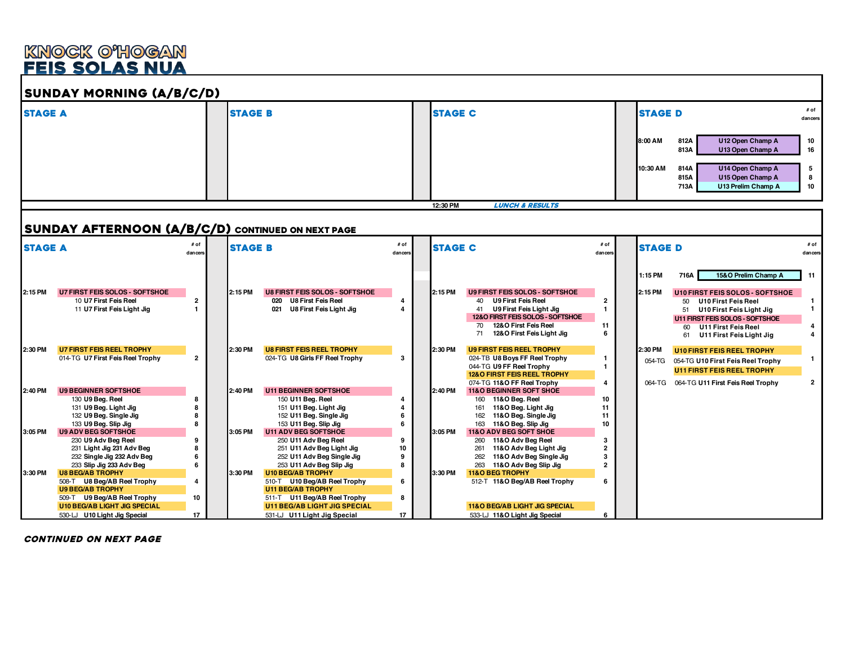### KNOCK O'HOGAN **FEIS SOLAS NUA**



continued on next page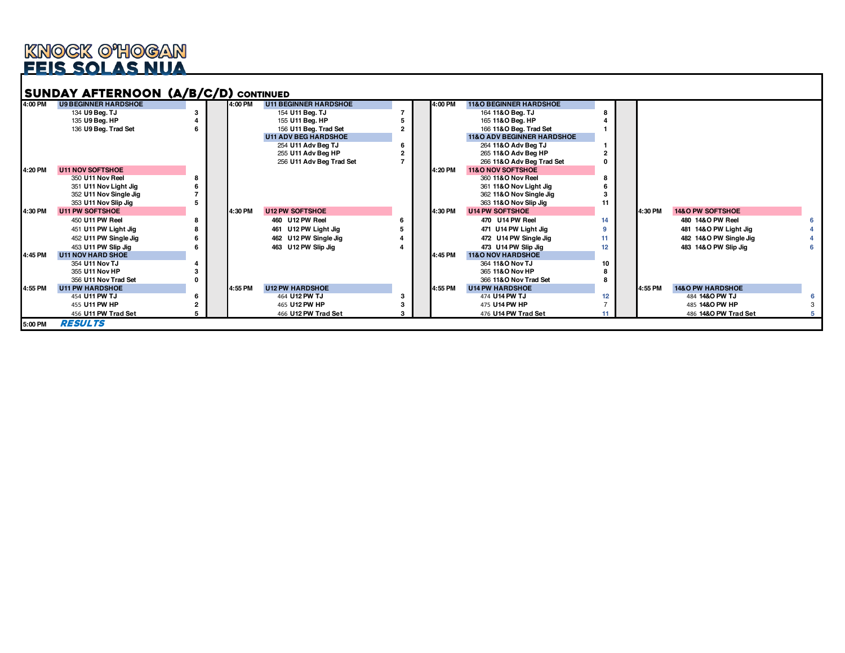# <u>knock o'hogan</u><br>Feis solas nua

| 4:00 PM | <b>U9 BEGINNER HARDSHOE</b> | 4:00 PM | <b>U11 BEGINNER HARDSHOE</b> | 4:00 PM | <b>11&amp;O BEGINNER HARDSHOE</b>     |    |         |                             |  |
|---------|-----------------------------|---------|------------------------------|---------|---------------------------------------|----|---------|-----------------------------|--|
|         | 134 U9 Bea. TJ              |         | 154 U11 Beg. TJ              |         | 164 11&O Beg. TJ                      |    |         |                             |  |
|         | 135 U9 Beg. HP              |         | 155 U11 Beg. HP              |         | 165 11& O Beg. HP                     |    |         |                             |  |
|         | 136 U9 Beg. Trad Set        |         | 156 U11 Beg. Trad Set        |         | 166 11& O Beg. Trad Set               |    |         |                             |  |
|         |                             |         | <b>U11 ADV BEG HARDSHOE</b>  |         | <b>11&amp;O ADV BEGINNER HARDSHOE</b> |    |         |                             |  |
|         |                             |         | 254 U11 Adv Beg TJ           |         | 264 11&O Adv Beg TJ                   |    |         |                             |  |
|         |                             |         | 255 U11 Adv Beg HP           |         | 265 11& O Adv Bea HP                  |    |         |                             |  |
|         |                             |         | 256 U11 Adv Beg Trad Set     |         | 266 11&O Adv Beg Trad Set             |    |         |                             |  |
| 4:20 PM | <b>U11 NOV SOFTSHOE</b>     |         |                              | 4:20 PM | 11&O NOV SOFTSHOE                     |    |         |                             |  |
|         | 350 U11 Nov Reel            |         |                              |         | 360 11& O Nov Reel                    |    |         |                             |  |
|         | 351 U11 Nov Light Jig       |         |                              |         | 361 11&O Nov Light Jig                |    |         |                             |  |
|         | 352 U11 Nov Single Jig      |         |                              |         | 362 11&O Nov Single Jig               |    |         |                             |  |
|         | 353 U11 Nov Slip Jig        |         |                              |         | 363 11&O Nov Slip Jig                 |    |         |                             |  |
| 4:30 PM | <b>U11 PW SOFTSHOE</b>      | 4:30 PM | <b>U12 PW SOFTSHOE</b>       | 4:30 PM | <b>U14 PW SOFTSHOE</b>                |    | 4:30 PM | 14&O PW SOFTSHOE            |  |
|         | 450 U11 PW Reel             |         | 460 U12 PW Reel              |         | 470 U14 PW Reel                       | 14 |         | 480 14& O PW Reel           |  |
|         | 451 U11 PW Light Jig        |         | 461 U12 PW Light Jig         |         | 471 U14 PW Light Jig                  |    |         | 481 14&O PW Light Jig       |  |
|         | 452 U11 PW Single Jig       |         | 462 U12 PW Single Jig        |         | 472 U14 PW Single Jig                 | 11 |         | 482 14&O PW Single Jig      |  |
|         | 453 U11 PW Slip Jig         |         | 463 U12 PW Slip Jig          |         | 473 U14 PW Slip Jig                   | 12 |         | 483 14&O PW Slip Jig        |  |
| 4:45 PM | <b>U11 NOV HARD SHOE</b>    |         |                              | 4:45 PM | <b>11&amp;O NOV HARDSHOE</b>          |    |         |                             |  |
|         | 354 U11 Nov TJ              |         |                              |         | 364 11&O Nov TJ                       | 10 |         |                             |  |
|         | 355 U11 Nov HP              |         |                              |         | 365 11&O Nov HP                       |    |         |                             |  |
|         | 356 U11 Nov Trad Set        |         |                              |         | 366 11& O Nov Trad Set                |    |         |                             |  |
| 4:55 PM | <b>U11 PW HARDSHOE</b>      | 4:55 PM | <b>U12 PW HARDSHOE</b>       | 4:55 PM | <b>U14 PW HARDSHOE</b>                |    | 4:55 PM | <b>14&amp;O PW HARDSHOE</b> |  |
|         | 454 U11 PW TJ               |         | 464 U12 PW TJ                |         | 474 U14 PW TJ                         | 12 |         | 484 1480 PW TJ              |  |
|         | 455 U11 PW HP               |         | 465 U12 PW HP                |         | 475 U14 PW HP                         |    |         | 485 14&O PW HP              |  |
|         | 456 U11 PW Trad Set         |         | 466 U12 PW Trad Set          |         | 476 U14 PW Trad Set                   |    |         | 486 14&O PW Trad Set        |  |